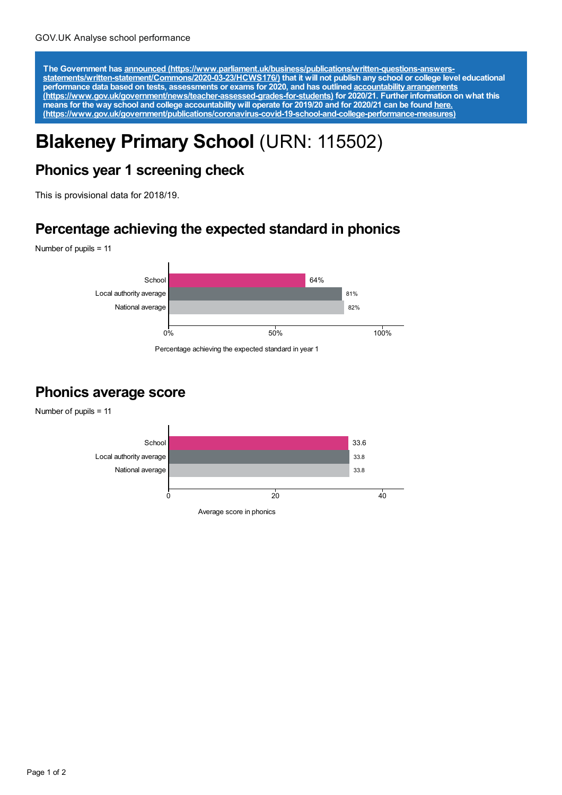The Government has announced [\(https://www.parliament.uk/business/publications/written-questions-answers-](https://www.parliament.uk/business/publications/written-questions-answers-statements/written-statement/Commons/2020-03-23/HCWS176/)<br>statements/written-statement/Commons/2020-03-23/HCWS176/) that it will not publish any school or college level educat **performance data based on tests, assessments or exams for 2020, and has outlined accountability arrangements [\(https://www.gov.uk/government/news/teacher-assessed-grades-for-students\)](https://www.gov.uk/government/news/teacher-assessed-grades-for-students) for 2020/21. Further information on what this** means for the way school and college accountability will operate for 2019/20 and for 2020/21 can be found <u>here.</u> **[\(https://www.gov.uk/government/publications/coronavirus-covid-19-school-and-college-performance-measures\)](https://www.gov.uk/government/publications/coronavirus-covid-19-school-and-college-performance-measures)**

# **Blakeney Primary School** (URN: 115502)

#### **Phonics year 1 screening check**

This is provisional data for 2018/19.

#### **Percentage achieving the expected standard in phonics**

Number of pupils = 11



Percentage achieving the expected standard in year 1

### **Phonics average score**

Number of pupils = 11